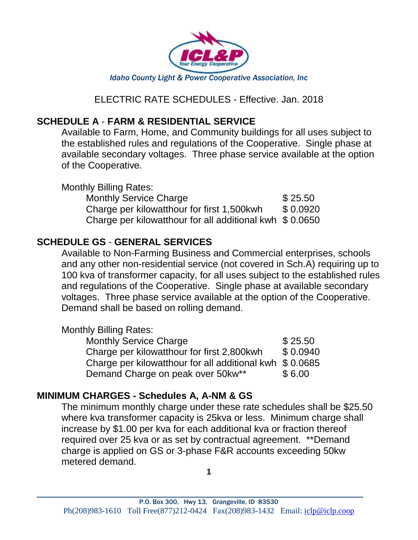

ELECTRIC RATE SCHEDULES - Effective. Jan. 2018

#### **SCHEDULE A** - **FARM & RESIDENTIAL SERVICE**

Available to Farm, Home, and Community buildings for all uses subject to the established rules and regulations of the Cooperative. Single phase at available secondary voltages. Three phase service available at the option of the Cooperative.

Monthly Billing Rates: Monthly Service Charge  $$25.50$ Charge per kilowatthour for first  $1,500$ kwh  $$0.0920$ Charge per kilowatthour for all additional kwh \$ 0.0650

## **SCHEDULE GS** - **GENERAL SERVICES**

Available to Non-Farming Business and Commercial enterprises, schools and any other non-residential service (not covered in Sch.A) requiring up to 100 kva of transformer capacity, for all uses subject to the established rules and regulations of the Cooperative. Single phase at available secondary voltages. Three phase service available at the option of the Cooperative. Demand shall be based on rolling demand.

#### Monthly Billing Rates:

 $\overline{a}$ 

| <b>Monthly Service Charge</b>                            | \$25.50  |
|----------------------------------------------------------|----------|
| Charge per kilowatthour for first 2,800kwh               | \$0.0940 |
| Charge per kilowatthour for all additional kwh $$0.0685$ |          |
| Demand Charge on peak over 50kw**                        | \$6.00   |

#### **MINIMUM CHARGES - Schedules A, A-NM & GS**

The minimum monthly charge under these rate schedules shall be \$25.50 where kva transformer capacity is 25kva or less. Minimum charge shall increase by \$1.00 per kva for each additional kva or fraction thereof required over 25 kva or as set by contractual agreement. \*\*Demand charge is applied on GS or 3-phase F&R accounts exceeding 50kw metered demand.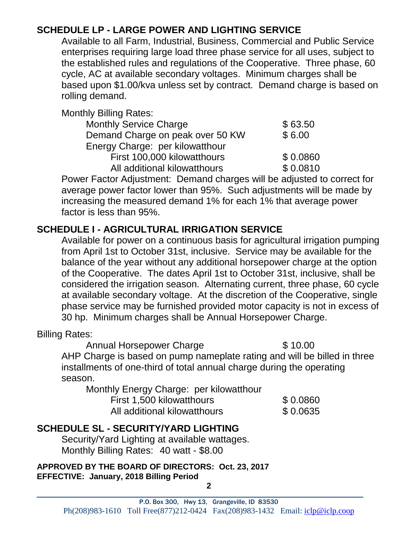# **SCHEDULE LP - LARGE POWER AND LIGHTING SERVICE**

Available to all Farm, Industrial, Business, Commercial and Public Service enterprises requiring large load three phase service for all uses, subject to the established rules and regulations of the Cooperative. Three phase, 60 cycle, AC at available secondary voltages. Minimum charges shall be based upon \$1.00/kva unless set by contract. Demand charge is based on rolling demand.

Monthly Billing Rates:

| uny Dinnig Rutou.                |          |
|----------------------------------|----------|
| <b>Monthly Service Charge</b>    | \$63.50  |
| Demand Charge on peak over 50 KW | \$6.00   |
| Energy Charge: per kilowatthour  |          |
| First 100,000 kilowatthours      | \$0.0860 |
| All additional kilowatthours     | \$0.0810 |

Power Factor Adjustment: Demand charges will be adjusted to correct for average power factor lower than 95%. Such adjustments will be made by increasing the measured demand 1% for each 1% that average power factor is less than 95%.

# **SCHEDULE I - AGRICULTURAL IRRIGATION SERVICE**

Available for power on a continuous basis for agricultural irrigation pumping from April 1st to October 31st, inclusive. Service may be available for the balance of the year without any additional horsepower charge at the option of the Cooperative. The dates April 1st to October 31st, inclusive, shall be considered the irrigation season. Alternating current, three phase, 60 cycle at available secondary voltage. At the discretion of the Cooperative, single phase service may be furnished provided motor capacity is not in excess of 30 hp. Minimum charges shall be Annual Horsepower Charge.

Billing Rates:

 $\overline{a}$ 

Annual Horsepower Charge **\$10.00** AHP Charge is based on pump nameplate rating and will be billed in three installments of one-third of total annual charge during the operating season.

Monthly Energy Charge: per kilowatthour

| First 1,500 kilowatthours    | \$0.0860 |
|------------------------------|----------|
| All additional kilowatthours | \$0.0635 |

# **SCHEDULE SL - SECURITY/YARD LIGHTING**

Security/Yard Lighting at available wattages. Monthly Billing Rates: 40 watt - \$8.00

**APPROVED BY THE BOARD OF DIRECTORS: Oct. 23, 2017 EFFECTIVE: January, 2018 Billing Period**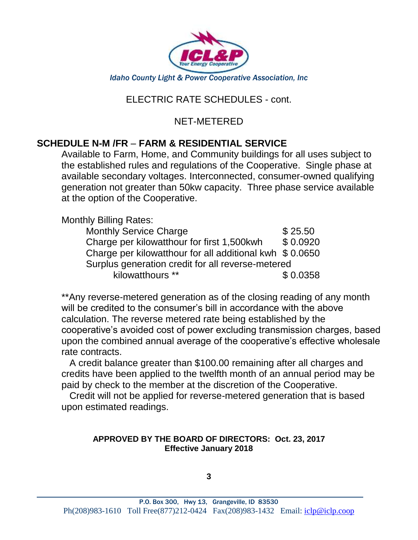

## ELECTRIC RATE SCHEDULES - cont.

#### NET-METERED

## **SCHEDULE N-M /FR** – **FARM & RESIDENTIAL SERVICE**

Available to Farm, Home, and Community buildings for all uses subject to the established rules and regulations of the Cooperative. Single phase at available secondary voltages. Interconnected, consumer-owned qualifying generation not greater than 50kw capacity. Three phase service available at the option of the Cooperative.

Monthly Billing Rates:

 $\overline{a}$ 

| <b>Monthly Service Charge</b>                            | \$25.50  |  |
|----------------------------------------------------------|----------|--|
| Charge per kilowatthour for first 1,500kwh               | \$0.0920 |  |
| Charge per kilowatthour for all additional kwh \$ 0.0650 |          |  |
| Surplus generation credit for all reverse-metered        |          |  |
| kilowatthours **                                         | \$0.0358 |  |

\*\*Any reverse-metered generation as of the closing reading of any month will be credited to the consumer's bill in accordance with the above calculation. The reverse metered rate being established by the cooperative's avoided cost of power excluding transmission charges, based upon the combined annual average of the cooperative's effective wholesale rate contracts.

 A credit balance greater than \$100.00 remaining after all charges and credits have been applied to the twelfth month of an annual period may be paid by check to the member at the discretion of the Cooperative.

 Credit will not be applied for reverse-metered generation that is based upon estimated readings.

#### **APPROVED BY THE BOARD OF DIRECTORS: Oct. 23, 2017 Effective January 2018**

**3**